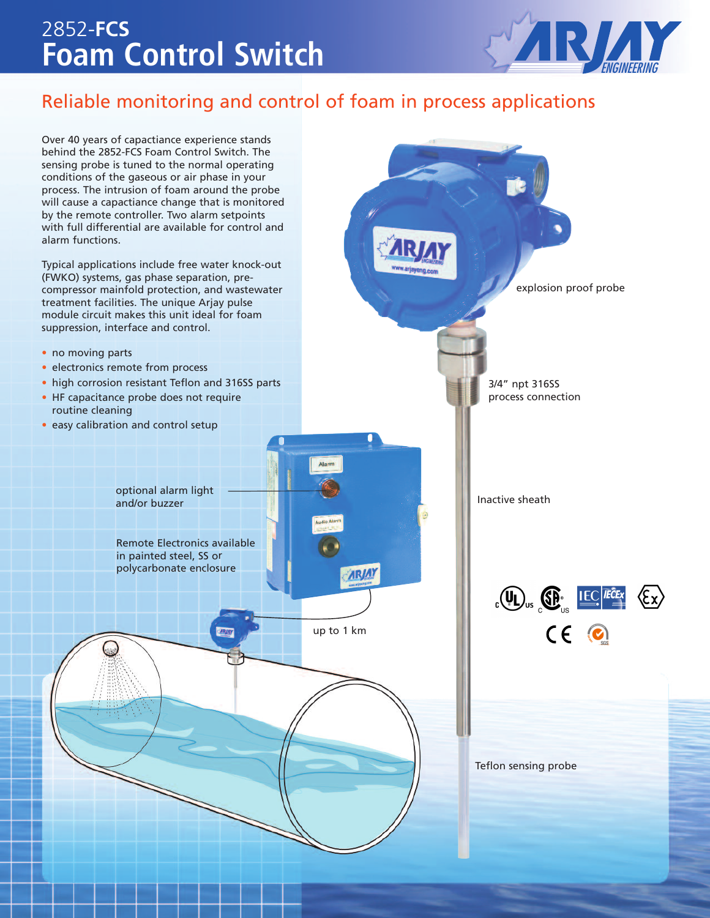# 2852-**FCS Foam Control Switch**



explosion proof probe

## Reliable monitoring and control of foam in process applications

Over 40 years of capactiance experience stands behind the 2852-FCS Foam Control Switch. The sensing probe is tuned to the normal operating conditions of the gaseous or air phase in your process. The intrusion of foam around the probe will cause a capactiance change that is monitored by the remote controller. Two alarm setpoints with full differential are available for control and alarm functions.

Typical applications include free water knock-out (FWKO) systems, gas phase separation, precompressor mainfold protection, and wastewater treatment facilities. The unique Arjay pulse module circuit makes this unit ideal for foam suppression, interface and control.

- no moving parts
- electronics remote from process
- high corrosion resistant Teflon and 316SS parts
- HF capacitance probe does not require routine cleaning
- easy calibration and control setup

optional alarm light and/or buzzer

Remote Electronics available in painted steel, SS or polycarbonate enclosure

up to 1 km

**ARJAY** 

Alar

Inactive sheath

3/4" npt 316SS process connection



Teflon sensing probe